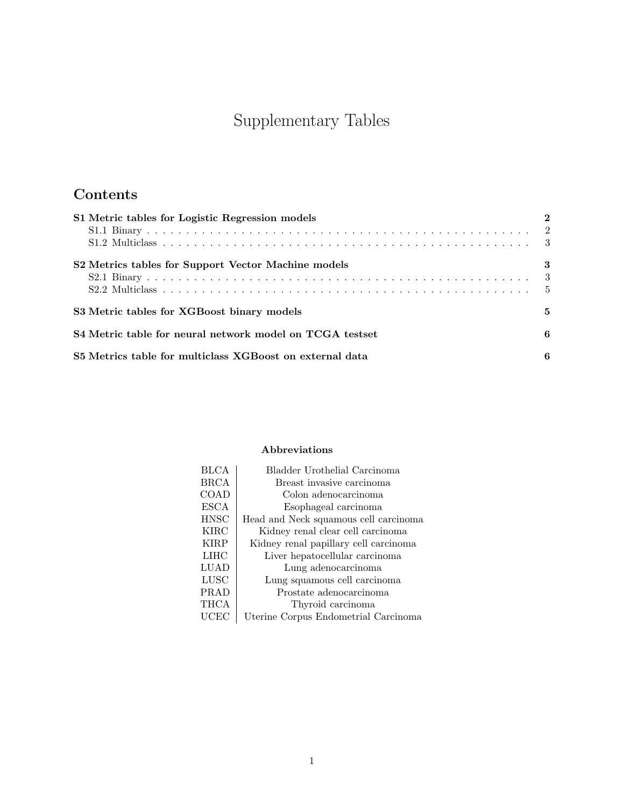# Supplementary Tables

# Contents

| S1 Metric tables for Logistic Regression models          |    |
|----------------------------------------------------------|----|
|                                                          |    |
|                                                          |    |
| S2 Metrics tables for Support Vector Machine models      | 3  |
|                                                          |    |
|                                                          |    |
| S3 Metric tables for XGBoost binary models               | 5. |
| S4 Metric table for neural network model on TCGA testset | 6  |
| S5 Metrics table for multiclass XGBoost on external data | 6  |

#### Abbreviations

| <b>BLCA</b> | Bladder Urothelial Carcinoma          |
|-------------|---------------------------------------|
| BRCA        | Breast invasive carcinoma             |
| COAD        | Colon adenocarcinoma                  |
| <b>ESCA</b> | Esophageal carcinoma                  |
| <b>HNSC</b> | Head and Neck squamous cell carcinoma |
| <b>KIRC</b> | Kidney renal clear cell carcinoma     |
| <b>KIRP</b> | Kidney renal papillary cell carcinoma |
| LIHC        | Liver hepatocellular carcinoma        |
| LUAD        | Lung adenocarcinoma                   |
| <b>LUSC</b> | Lung squamous cell carcinoma          |
| PRAD        | Prostate adenocarcinoma               |
| THCA        | Thyroid carcinoma                     |
| UCEC        | Uterine Corpus Endometrial Carcinoma  |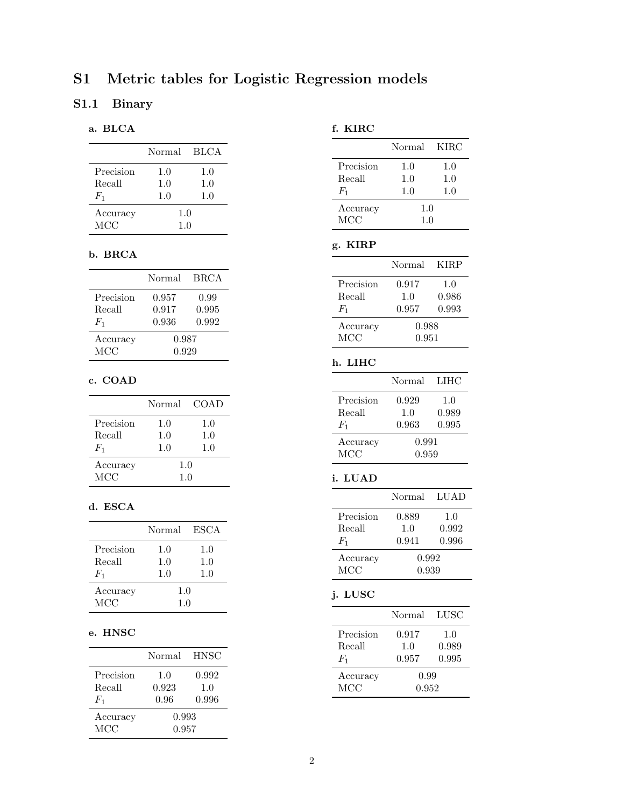# <span id="page-1-0"></span>S1 Metric tables for Logistic Regression models

### <span id="page-1-1"></span>S1.1 Binary

#### a. BLCA

|            | Normal | - BLCA |
|------------|--------|--------|
| Precision  | 1.0    | 1.0    |
| Recall     | 1.0    | 1.0    |
| $F_1$      | 1.0    | 1.0    |
| Accuracy   | 1.0    |        |
| <b>MCC</b> | 1.0    |        |

#### b. BRCA

|            | <b>Normal</b> | BRCA  |
|------------|---------------|-------|
| Precision  | 0.957         | 0.99  |
| Recall     | 0.917         | 0.995 |
| $F_1$      | 0.936         | 0.992 |
| Accuracy   | 0.987         |       |
| <b>MCC</b> | 0.929         |       |

#### c. COAD

|            | Normal | <b>COAD</b> |
|------------|--------|-------------|
| Precision  | 1.0    | 1.0         |
| Recall     | 1.0    | 1.0         |
| $F_{1}$    | 1.0    | 1.0         |
| Accuracy   | 1.0    |             |
| <b>MCC</b> | 1.0    |             |

#### d. ESCA

|           | Normal | ESCA |
|-----------|--------|------|
| Precision | 1.0    | 1.0  |
| Recall    | 1.0    | 1.0  |
| $F_{1}$   | 1.0    | 1.0  |
| Accuracy  | 1.0    |      |
| MCC       | 1.0    |      |

#### e. HNSC

|            | Normal | <b>HNSC</b> |
|------------|--------|-------------|
| Precision  | 1.0    | 0.992       |
| Recall     | 0.923  | 1.0         |
| $F_1$      | 0.96   | 0.996       |
| Accuracy   | 0.993  |             |
| <b>MCC</b> | 0.957  |             |

#### f. KIRC

|            | Normal  | <b>KIRC</b> |
|------------|---------|-------------|
| Precision  | $1.0\,$ | $1.0\,$     |
| Recall     | 1.0     | 1.0         |
| $F_1$      | 1.0     | 1.0         |
| Accuracy   | 1.0     |             |
| <b>MCC</b> | 1.0     |             |

### g. KIRP

|           | Normal | <b>KIRP</b> |
|-----------|--------|-------------|
| Precision | 0.917  | 1.0         |
| Recall    | 1.0    | 0.986       |
| $F_1$     | 0.957  | 0.993       |
| Accuracy  | 0.988  |             |
| MCC       | 0.951  |             |

#### h. LIHC

|            | <b>Normal</b> | - LIHC |
|------------|---------------|--------|
| Precision  | 0.929         | 1.0    |
| Recall     | 1.0           | 0.989  |
| $F_{1}$    | 0.963         | 0.995  |
| Accuracy   | 0.991         |        |
| <b>MCC</b> | 0.959         |        |

#### i. LUAD

|           | Normal | LUAD  |
|-----------|--------|-------|
| Precision | 0.889  | 1.0   |
| Recall    | 1.0    | 0.992 |
| $F_1$     | 0.941  | 0.996 |
| Accuracy  | 0.992  |       |
| MCC       | 0.939  |       |

# j. LUSC

|            | Normal | - LUSC |
|------------|--------|--------|
| Precision  | 0.917  | 1.0    |
| Recall     | 1.0    | 0.989  |
| $F_1$      | 0.957  | 0.995  |
| Accuracy   | 0.99   |        |
| <b>MCC</b> | 0.952  |        |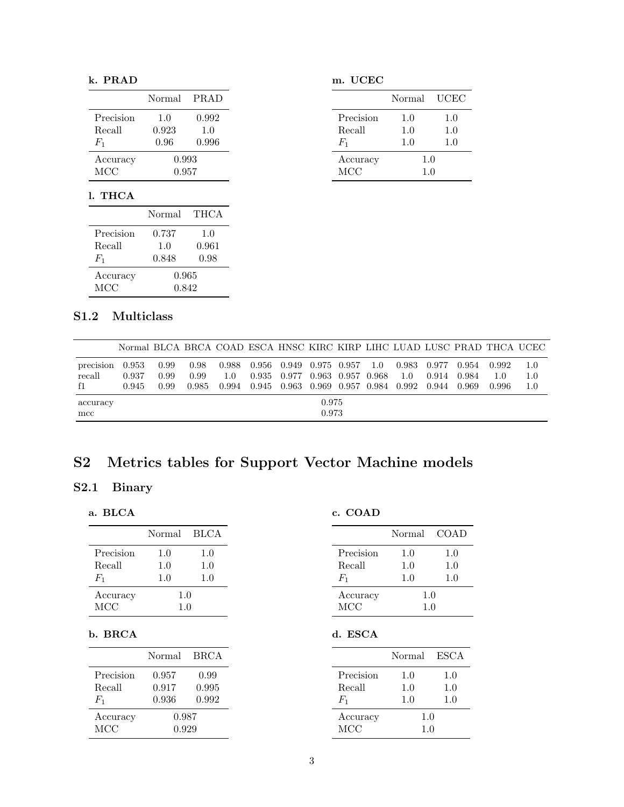#### k. PRAD

| Precision<br>1.0<br>0.923<br>Recall<br>1.0<br>0.96<br>$F_1$<br>0.993 |          | Normal | <b>PRAD</b> |  |  |
|----------------------------------------------------------------------|----------|--------|-------------|--|--|
|                                                                      |          |        | 0.992       |  |  |
|                                                                      |          |        |             |  |  |
|                                                                      |          |        | 0.996       |  |  |
|                                                                      | Accuracy |        |             |  |  |
| <b>MCC</b><br>0.957                                                  |          |        |             |  |  |

#### l. THCA

|            | Normal | THCA  |  |
|------------|--------|-------|--|
| Precision  | 0.737  | 1.0   |  |
| Recall     | 1.0    | 0.961 |  |
| $F_1$      | 0.848  | 0.98  |  |
| Accuracy   | 0.965  |       |  |
| <b>MCC</b> | 0.842  |       |  |

m. UCEC

|           | Normal | UCEC |
|-----------|--------|------|
| Precision | 1.0    | 1.0  |
| Recall    | 1.0    | 1.0  |
| $F_1$     | 1.0    | 1.0  |
| Accuracy  | 1.0    |      |
| MCC       | 1.0    |      |

### <span id="page-2-0"></span>S1.2 Multiclass

|                     | Normal BLCA BRCA COAD ESCA HNSC KIRC KIRP LIHC LUAD LUSC PRAD THCA UCEC |              |              |     |                                              |                   |     |                     |       |                |              |            |
|---------------------|-------------------------------------------------------------------------|--------------|--------------|-----|----------------------------------------------|-------------------|-----|---------------------|-------|----------------|--------------|------------|
| precision<br>recall | 0.953<br>0.937                                                          | 0.99<br>0.99 | 0.98<br>0.99 | 1.0 | 0.988 0.956 0.949 0.975 0.957<br>0.935 0.977 | 0.963 0.957 0.968 | 1.0 | 0.983 0.977<br>-1.0 | 0.914 | 0.954<br>0.984 | 0.992<br>1.0 | 1.0<br>1.0 |
| f1                  | 0.945                                                                   | 0.99         | 0.985        |     | 0.994 0.945 0.963 0.969 0.957 0.984 0.992    |                   |     |                     | 0.944 | 0.969          | 0.996        | 1.0        |
| accuracy<br>mcc     |                                                                         |              |              |     |                                              | 0.975<br>0.973    |     |                     |       |                |              |            |

# <span id="page-2-1"></span>S2 Metrics tables for Support Vector Machine models

### <span id="page-2-2"></span>S2.1 Binary

a. BLCA

|            | Normal BLCA |     |
|------------|-------------|-----|
| Precision  | 1.0         | 1.0 |
| Recall     | 1.0         | 1.0 |
| $F_{1}$    | 1.0         | 1.0 |
| Accuracy   | 1.0         |     |
| <b>MCC</b> | 1.0         |     |

#### b. BRCA

|            | Normal | <b>BRCA</b> |  |  |
|------------|--------|-------------|--|--|
| Precision  | 0.957  | 0.99        |  |  |
| Recall     | 0.917  | 0.995       |  |  |
| $F_1$      | 0.936  | 0.992       |  |  |
| Accuracy   | 0.987  |             |  |  |
| <b>MCC</b> | 0.929  |             |  |  |

#### c. COAD

|            | Normal | COAD |
|------------|--------|------|
| Precision  | 1.0    | 1.0  |
| Recall     | 1.0    | 1.0  |
| $F_1$      | 1.0    | 1.0  |
| Accuracy   | 1.0    |      |
| <b>MCC</b> | 1.0    |      |

#### d. ESCA

|            | Normal | ESCA |
|------------|--------|------|
| Precision  | 1.0    | 1.0  |
| Recall     | 1.0    | 1.0  |
| $F_1$      | 1.0    | 1.0  |
| Accuracy   | 1.0    |      |
| <b>MCC</b> | 1.0    |      |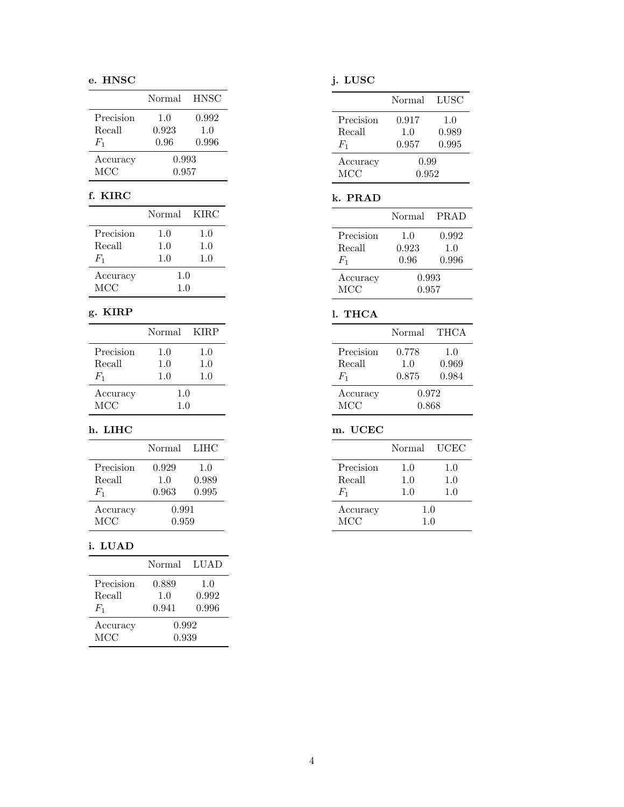#### e. HNSC

|            | Normal | <b>HNSC</b> |  |  |  |
|------------|--------|-------------|--|--|--|
| Precision  | 1.0    | 0.992       |  |  |  |
| Recall     | 0.923  | 1.0         |  |  |  |
| $F_1$      | 0.96   | 0.996       |  |  |  |
| Accuracy   | 0.993  |             |  |  |  |
| <b>MCC</b> | 0.957  |             |  |  |  |

#### f. KIRC

|            | Normal KIRC |     |
|------------|-------------|-----|
| Precision  | 1.0         | 1.0 |
| Recall     | 1.0         | 1.0 |
| $F_1$      | 1.0         | 1.0 |
| Accuracy   | 1.0         |     |
| <b>MCC</b> | 1.0         |     |

#### g. KIRP

|            | Normal | – KIRP |
|------------|--------|--------|
| Precision  | 1.0    | 1.0    |
| Recall     | 1.0    | 1.0    |
| $F_1$      | 1.0    | 1.0    |
| Accuracy   | 1.0    |        |
| <b>MCC</b> | 1.0    |        |

#### h. LIHC

|            | Normal | LIHC  |  |
|------------|--------|-------|--|
| Precision  | 0.929  | 1.0   |  |
| Recall     | 1.0    | 0.989 |  |
| $F_{1}$    | 0.963  | 0.995 |  |
| Accuracy   | 0.991  |       |  |
| <b>MCC</b> | 0.959  |       |  |

#### i. LUAD

|                                 | Normal                  | - LUAD       |
|---------------------------------|-------------------------|--------------|
| Precision<br>Recall             | 0.889<br>1.0            | 1.0<br>0.992 |
| $F_1$<br>Accuracy<br><b>MCC</b> | 0.941<br>0.992<br>0.939 | 0.996        |

### j. LUSC

|                              | Normal                | - LUSC                |
|------------------------------|-----------------------|-----------------------|
| Precision<br>Recall<br>$F_1$ | 0.917<br>1.0<br>0.957 | 1.0<br>0.989<br>0.995 |
| Accuracy<br><b>MCC</b>       | 0.99<br>0.952         |                       |

#### k. PRAD

|            | Normal | PRAD  |
|------------|--------|-------|
| Precision  | 1.0    | 0.992 |
| Recall     | 0.923  | 1.0   |
| $F_1$      | 0.96   | 0.996 |
| Accuracy   | 0.993  |       |
| <b>MCC</b> | 0.957  |       |

#### l. THCA

|                              | Normal                | THCA                  |
|------------------------------|-----------------------|-----------------------|
| Precision<br>Recall<br>$F_1$ | 0.778<br>1.0<br>0.875 | 1.0<br>0.969<br>0.984 |
| Accuracy<br><b>MCC</b>       | 0.972<br>0.868        |                       |

#### m. UCEC

|           | Normal  | UCEC |
|-----------|---------|------|
| Precision | $1.0\,$ | 1.0  |
| Recall    | 1.0     | 1.0  |
| $F_1$     | 1.0     | 1.0  |
| Accuracy  | 1.0     |      |
| MCC       | 1.0     |      |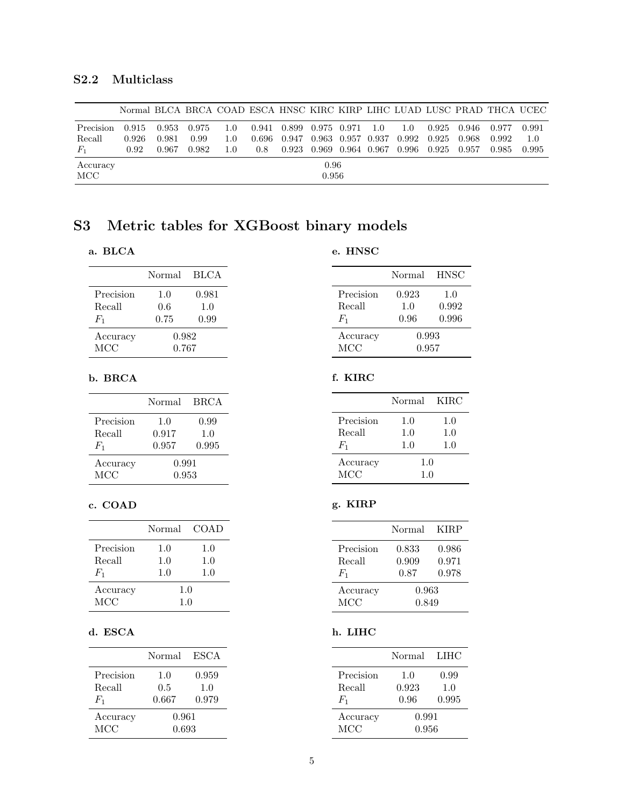#### <span id="page-4-0"></span>S2.2 Multiclass

|           | Normal BLCA BRCA COAD ESCA HNSC KIRC KIRP LIHC LUAD LUSC PRAD THCA UCEC |       |       |      |       |                                       |                   |  |             |       |       |       |       |
|-----------|-------------------------------------------------------------------------|-------|-------|------|-------|---------------------------------------|-------------------|--|-------------|-------|-------|-------|-------|
| Precision | 0.915                                                                   | 0.953 | 0.975 | -1.0 |       | $0.941$ $0.899$ $0.975$ $0.971$ $1.0$ |                   |  | 1.0         | 0.925 | 0.946 | 0.977 | 0.991 |
| Recall    | 0.926                                                                   | 0.981 | 0.99  | 1.0  | 0.696 | 0.947                                 | 0.963 0.957 0.937 |  | 0.992 0.925 |       | 0.968 | 0.992 | 1.0   |
| $F_1$     | 0.92                                                                    | 0.967 | 0.982 | 1.0  | 0.8   | 0.923                                 | 0.969 0.964 0.967 |  | 0.996 0.925 |       | 0.957 | 0.985 | 0.995 |
| Accuracy  |                                                                         |       |       |      |       |                                       | 0.96              |  |             |       |       |       |       |
| MCC       |                                                                         |       |       |      |       |                                       | 0.956             |  |             |       |       |       |       |

## <span id="page-4-1"></span>S3 Metric tables for XGBoost binary models

#### a. BLCA

#### e. HNSC

|            | Normal | <b>BLCA</b> |
|------------|--------|-------------|
| Precision  | 1.0    | 0.981       |
| Recall     | 0.6    | 1.0         |
| $F_1$      | 0.75   | 0.99        |
| Accuracy   | 0.982  |             |
| <b>MCC</b> | 0.767  |             |

#### b. BRCA

|            | Normal | BRCA  |  |  |
|------------|--------|-------|--|--|
| Precision  | 1.0    | 0.99  |  |  |
| Recall     | 0.917  | 1.0   |  |  |
| $F_1$      | 0.957  | 0.995 |  |  |
| Accuracy   | 0.991  |       |  |  |
| <b>MCC</b> | 0.953  |       |  |  |

#### c. COAD

|            | Normal | <b>COAD</b> |
|------------|--------|-------------|
| Precision  | 1.0    | 1.0         |
| Recall     | 1.0    | 1.0         |
| $F_1$      | 1.0    | 1.0         |
| Accuracy   | 1.0    |             |
| <b>MCC</b> | 1.0    |             |

#### d. ESCA

|            | Normal | ESCA  |  |
|------------|--------|-------|--|
| Precision  | 1.0    | 0.959 |  |
| Recall     | 0.5    | 1.0   |  |
| $F_{1}$    | 0.667  | 0.979 |  |
| Accuracy   | 0.961  |       |  |
| <b>MCC</b> | 0.693  |       |  |

|           | Normal | <b>HNSC</b> |  |
|-----------|--------|-------------|--|
| Precision | 0.923  | 1.0         |  |
| Recall    | 1.0    | 0.992       |  |
| $F_1$     | 0.96   | 0.996       |  |
| Accuracy  | 0.993  |             |  |
| MCC       | 0.957  |             |  |

#### f. KIRC

|           | Normal | – KIRC |
|-----------|--------|--------|
| Precision | 1.0    | 1.0    |
| Recall    | 1.0    | 1.0    |
| $F_{1}$   | 1.0    | 1.0    |
| Accuracy  | 1.0    |        |
| MCC       | 1.0    |        |

#### g. KIRP

|                              | Normal                 | <b>KIRP</b>             |
|------------------------------|------------------------|-------------------------|
| Precision<br>Recall<br>$F_1$ | 0.833<br>0.909<br>0.87 | 0.986<br>0.971<br>0.978 |
| Accuracy<br><b>MCC</b>       | 0.963<br>0.849         |                         |

#### h. LIHC

|                                | Normal               | LIHC                 |
|--------------------------------|----------------------|----------------------|
| Precision<br>Recall<br>$F_{1}$ | 1.0<br>0.923<br>0.96 | 0.99<br>1.0<br>0.995 |
| Accuracy<br>MCC                | 0.991<br>0.956       |                      |